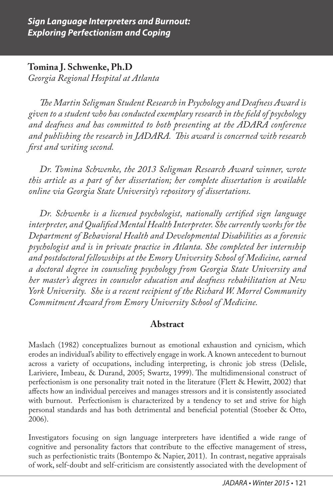**Tomina J. Schwenke, Ph.D** *Georgia Regional Hospital at Atlanta*

*The Martin Seligman Student Research in Psychology and Deafness Award is given to a student who has conducted exemplary research in the field of psychology and deafness and has committed to both presenting at the ADARA conference and publishing the research in JADARA. This award is concerned with research first and writing second.*

*Dr. Tomina Schwenke, the 2013 Seligman Research Award winner, wrote this article as a part of her dissertation; her complete dissertation is available online via Georgia State University's repository of dissertations.*

*Dr. Schwenke is a licensed psychologist, nationally certified sign language interpreter, and Qualified Mental Health Interpreter. She currently works for the Department of Behavioral Health and Developmental Disabilities as a forensic psychologist and is in private practice in Atlanta. She completed her internship and postdoctoral fellowships at the Emory University School of Medicine, earned a doctoral degree in counseling psychology from Georgia State University and her master's degrees in counselor education and deafness rehabilitation at New York University. She is a recent recipient of the Richard W. Morrel Community Commitment Award from Emory University School of Medicine.* 

### **Abstract**

Maslach (1982) conceptualizes burnout as emotional exhaustion and cynicism, which erodes an individual's ability to effectively engage in work. A known antecedent to burnout across a variety of occupations, including interpreting, is chronic job stress (Delisle, Lariviere, Imbeau, & Durand, 2005; Swartz, 1999). The multidimensional construct of perfectionism is one personality trait noted in the literature (Flett & Hewitt, 2002) that affects how an individual perceives and manages stressors and it is consistently associated with burnout. Perfectionism is characterized by a tendency to set and strive for high personal standards and has both detrimental and beneficial potential (Stoeber & Otto, 2006).

Investigators focusing on sign language interpreters have identified a wide range of cognitive and personality factors that contribute to the effective management of stress, such as perfectionistic traits (Bontempo & Napier, 2011). In contrast, negative appraisals of work, self-doubt and self-criticism are consistently associated with the development of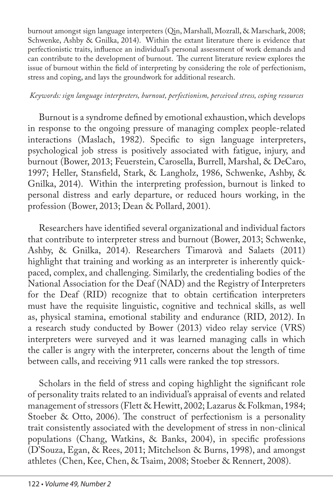burnout amongst sign language interpreters (Qin, Marshall, Mozrall, & Marschark, 2008; Schwenke, Ashby & Gnilka, 2014). Within the extant literature there is evidence that perfectionistic traits, influence an individual's personal assessment of work demands and can contribute to the development of burnout. The current literature review explores the issue of burnout within the field of interpreting by considering the role of perfectionism, stress and coping, and lays the groundwork for additional research.

#### *Keywords: sign language interpreters, burnout, perfectionism, perceived stress, coping resources*

Burnout is a syndrome defined by emotional exhaustion, which develops in response to the ongoing pressure of managing complex people-related interactions (Maslach, 1982). Specific to sign language interpreters, psychological job stress is positively associated with fatigue, injury, and burnout (Bower, 2013; Feuerstein, Carosella, Burrell, Marshal, & DeCaro, 1997; Heller, Stansfield, Stark, & Langholz, 1986, Schwenke, Ashby, & Gnilka, 2014). Within the interpreting profession, burnout is linked to personal distress and early departure, or reduced hours working, in the profession (Bower, 2013; Dean & Pollard, 2001).

Researchers have identified several organizational and individual factors that contribute to interpreter stress and burnout (Bower, 2013; Schwenke, Ashby, & Gnilka, 2014). Researchers Timarovà and Salaets (2011) highlight that training and working as an interpreter is inherently quickpaced, complex, and challenging. Similarly, the credentialing bodies of the National Association for the Deaf (NAD) and the Registry of Interpreters for the Deaf (RID) recognize that to obtain certification interpreters must have the requisite linguistic, cognitive and technical skills, as well as, physical stamina, emotional stability and endurance (RID, 2012). In a research study conducted by Bower (2013) video relay service (VRS) interpreters were surveyed and it was learned managing calls in which the caller is angry with the interpreter, concerns about the length of time between calls, and receiving 911 calls were ranked the top stressors.

Scholars in the field of stress and coping highlight the significant role of personality traits related to an individual's appraisal of events and related management of stressors (Flett & Hewitt, 2002; Lazarus & Folkman, 1984; Stoeber & Otto, 2006). The construct of perfectionism is a personality trait consistently associated with the development of stress in non-clinical populations (Chang, Watkins, & Banks, 2004), in specific professions (D'Souza, Egan, & Rees, 2011; Mitchelson & Burns, 1998), and amongst athletes (Chen, Kee, Chen, & Tsaim, 2008; Stoeber & Rennert, 2008).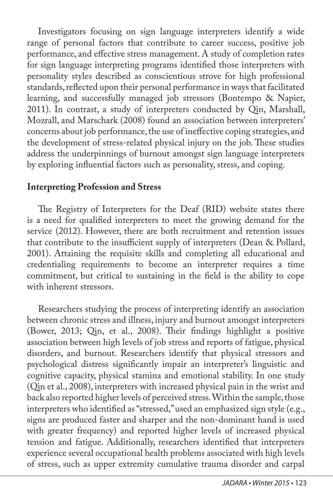Investigators focusing on sign language interpreters identify a wide range of personal factors that contribute to career success, positive job performance, and effective stress management. A study of completion rates for sign language interpreting programs identified those interpreters with personality styles described as conscientious strove for high professional standards, reflected upon their personal performance in ways that facilitated learning, and successfully managed job stressors (Bontempo & Napier, 2011). In contrast, a study of interpreters conducted by Qin, Marshall, Mozrall, and Marschark (2008) found an association between interpreters' concerns about job performance, the use of ineffective coping strategies, and the development of stress-related physical injury on the job. These studies address the underpinnings of burnout amongst sign language interpreters by exploring influential factors such as personality, stress, and coping.

# **Interpreting Profession and Stress**

The Registry of Interpreters for the Deaf (RID) website states there is a need for qualified interpreters to meet the growing demand for the service (2012). However, there are both recruitment and retention issues that contribute to the insufficient supply of interpreters (Dean & Pollard, 2001). Attaining the requisite skills and completing all educational and credentialing requirements to become an interpreter requires a time commitment, but critical to sustaining in the field is the ability to cope with inherent stressors.

Researchers studying the process of interpreting identify an association between chronic stress and illness, injury and burnout amongst interpreters (Bower, 2013; Qin, et al., 2008). Their findings highlight a positive association between high levels of job stress and reports of fatigue, physical disorders, and burnout. Researchers identify that physical stressors and psychological distress significantly impair an interpreter's linguistic and cognitive capacity, physical stamina and emotional stability. In one study (Qin et al., 2008), interpreters with increased physical pain in the wrist and back also reported higher levels of perceived stress. Within the sample, those interpreters who identified as "stressed," used an emphasized sign style (e.g., signs are produced faster and sharper and the non-dominant hand is used with greater frequency) and reported higher levels of increased physical tension and fatigue. Additionally, researchers identified that interpreters experience several occupational health problems associated with high levels of stress, such as upper extremity cumulative trauma disorder and carpal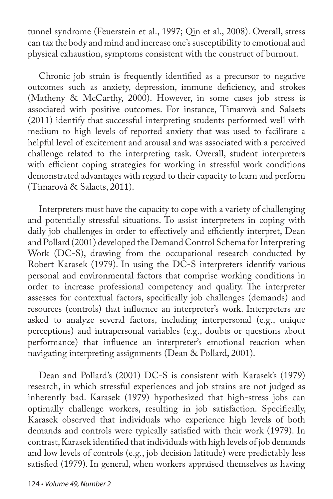tunnel syndrome (Feuerstein et al., 1997; Qin et al., 2008). Overall, stress can tax the body and mind and increase one's susceptibility to emotional and physical exhaustion, symptoms consistent with the construct of burnout.

Chronic job strain is frequently identified as a precursor to negative outcomes such as anxiety, depression, immune deficiency, and strokes (Matheny & McCarthy, 2000). However, in some cases job stress is associated with positive outcomes. For instance, Timarovà and Salaets (2011) identify that successful interpreting students performed well with medium to high levels of reported anxiety that was used to facilitate a helpful level of excitement and arousal and was associated with a perceived challenge related to the interpreting task. Overall, student interpreters with efficient coping strategies for working in stressful work conditions demonstrated advantages with regard to their capacity to learn and perform (Timarovà & Salaets, 2011).

Interpreters must have the capacity to cope with a variety of challenging and potentially stressful situations. To assist interpreters in coping with daily job challenges in order to effectively and efficiently interpret, Dean and Pollard (2001) developed the Demand Control Schema for Interpreting Work (DC-S), drawing from the occupational research conducted by Robert Karasek (1979). In using the DC-S interpreters identify various personal and environmental factors that comprise working conditions in order to increase professional competency and quality. The interpreter assesses for contextual factors, specifically job challenges (demands) and resources (controls) that influence an interpreter's work. Interpreters are asked to analyze several factors, including interpersonal (e.g., unique perceptions) and intrapersonal variables (e.g., doubts or questions about performance) that influence an interpreter's emotional reaction when navigating interpreting assignments (Dean & Pollard, 2001).

Dean and Pollard's (2001) DC-S is consistent with Karasek's (1979) research, in which stressful experiences and job strains are not judged as inherently bad. Karasek (1979) hypothesized that high-stress jobs can optimally challenge workers, resulting in job satisfaction. Specifically, Karasek observed that individuals who experience high levels of both demands and controls were typically satisfied with their work (1979). In contrast, Karasek identified that individuals with high levels of job demands and low levels of controls (e.g., job decision latitude) were predictably less satisfied (1979). In general, when workers appraised themselves as having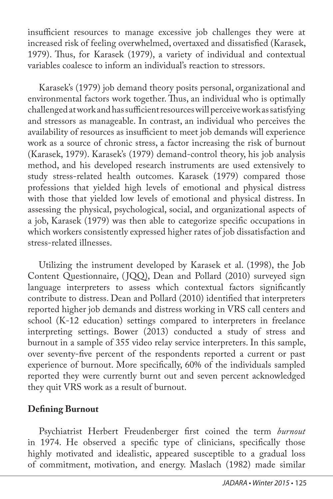insufficient resources to manage excessive job challenges they were at increased risk of feeling overwhelmed, overtaxed and dissatisfied (Karasek, 1979). Thus, for Karasek (1979), a variety of individual and contextual variables coalesce to inform an individual's reaction to stressors.

Karasek's (1979) job demand theory posits personal, organizational and environmental factors work together. Thus, an individual who is optimally challenged at work and has sufficient resources will perceive work as satisfying and stressors as manageable. In contrast, an individual who perceives the availability of resources as insufficient to meet job demands will experience work as a source of chronic stress, a factor increasing the risk of burnout (Karasek, 1979). Karasek's (1979) demand-control theory, his job analysis method, and his developed research instruments are used extensively to study stress-related health outcomes. Karasek (1979) compared those professions that yielded high levels of emotional and physical distress with those that yielded low levels of emotional and physical distress. In assessing the physical, psychological, social, and organizational aspects of a job, Karasek (1979) was then able to categorize specific occupations in which workers consistently expressed higher rates of job dissatisfaction and stress-related illnesses.

Utilizing the instrument developed by Karasek et al. (1998), the Job Content Questionnaire, (JQQ), Dean and Pollard (2010) surveyed sign language interpreters to assess which contextual factors significantly contribute to distress. Dean and Pollard (2010) identified that interpreters reported higher job demands and distress working in VRS call centers and school (K-12 education) settings compared to interpreters in freelance interpreting settings. Bower (2013) conducted a study of stress and burnout in a sample of 355 video relay service interpreters. In this sample, over seventy-five percent of the respondents reported a current or past experience of burnout. More specifically, 60% of the individuals sampled reported they were currently burnt out and seven percent acknowledged they quit VRS work as a result of burnout.

# **Defining Burnout**

Psychiatrist Herbert Freudenberger first coined the term *burnout*  in 1974. He observed a specific type of clinicians, specifically those highly motivated and idealistic, appeared susceptible to a gradual loss of commitment, motivation, and energy. Maslach (1982) made similar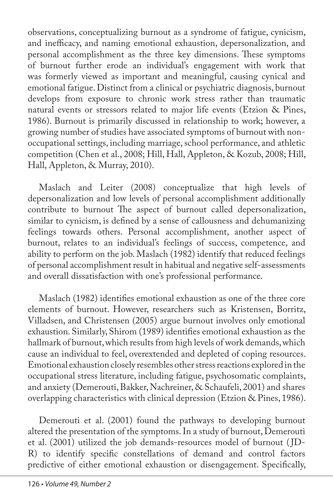observations, conceptualizing burnout as a syndrome of fatigue, cynicism, and inefficacy, and naming emotional exhaustion, depersonalization, and personal accomplishment as the three key dimensions. These symptoms of burnout further erode an individual's engagement with work that was formerly viewed as important and meaningful, causing cynical and emotional fatigue. Distinct from a clinical or psychiatric diagnosis, burnout develops from exposure to chronic work stress rather than traumatic natural events or stressors related to major life events (Etzion & Pines, 1986). Burnout is primarily discussed in relationship to work; however, a growing number of studies have associated symptoms of burnout with nonoccupational settings, including marriage, school performance, and athletic competition (Chen et al., 2008; Hill, Hall, Appleton, & Kozub, 2008; Hill, Hall, Appleton, & Murray, 2010).

Maslach and Leiter (2008) conceptualize that high levels of depersonalization and low levels of personal accomplishment additionally contribute to burnout The aspect of burnout called depersonalization, similar to cynicism, is defined by a sense of callousness and dehumanizing feelings towards others. Personal accomplishment, another aspect of burnout, relates to an individual's feelings of success, competence, and ability to perform on the job. Maslach (1982) identify that reduced feelings of personal accomplishment result in habitual and negative self-assessments and overall dissatisfaction with one's professional performance.

Maslach (1982) identifies emotional exhaustion as one of the three core elements of burnout. However, researchers such as Kristensen, Borritz, Villadsen, and Christensen (2005) argue burnout involves only emotional exhaustion. Similarly, Shirom (1989) identifies emotional exhaustion as the hallmark of burnout, which results from high levels of work demands, which cause an individual to feel, overextended and depleted of coping resources. Emotional exhaustion closely resembles other stress reactions explored in the occupational stress literature, including fatigue, psychosomatic complaints, and anxiety (Demerouti, Bakker, Nachreiner, & Schaufeli, 2001) and shares overlapping characteristics with clinical depression (Etzion & Pines, 1986).

Demerouti et al. (2001) found the pathways to developing burnout altered the presentation of the symptoms. In a study of burnout, Demerouti et al. (2001) utilized the job demands-resources model of burnout ( JD-R) to identify specific constellations of demand and control factors predictive of either emotional exhaustion or disengagement. Specifically,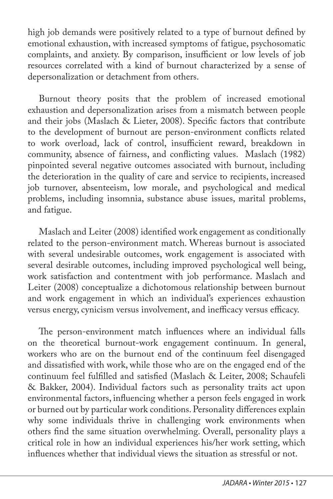high job demands were positively related to a type of burnout defined by emotional exhaustion, with increased symptoms of fatigue, psychosomatic complaints, and anxiety. By comparison, insufficient or low levels of job resources correlated with a kind of burnout characterized by a sense of depersonalization or detachment from others.

Burnout theory posits that the problem of increased emotional exhaustion and depersonalization arises from a mismatch between people and their jobs (Maslach & Lieter, 2008). Specific factors that contribute to the development of burnout are person-environment conflicts related to work overload, lack of control, insufficient reward, breakdown in community, absence of fairness, and conflicting values. Maslach (1982) pinpointed several negative outcomes associated with burnout, including the deterioration in the quality of care and service to recipients, increased job turnover, absenteeism, low morale, and psychological and medical problems, including insomnia, substance abuse issues, marital problems, and fatigue.

Maslach and Leiter (2008) identified work engagement as conditionally related to the person-environment match. Whereas burnout is associated with several undesirable outcomes, work engagement is associated with several desirable outcomes, including improved psychological well being, work satisfaction and contentment with job performance. Maslach and Leiter (2008) conceptualize a dichotomous relationship between burnout and work engagement in which an individual's experiences exhaustion versus energy, cynicism versus involvement, and inefficacy versus efficacy.

The person-environment match influences where an individual falls on the theoretical burnout-work engagement continuum. In general, workers who are on the burnout end of the continuum feel disengaged and dissatisfied with work, while those who are on the engaged end of the continuum feel fulfilled and satisfied (Maslach & Leiter, 2008; Schaufeli & Bakker, 2004). Individual factors such as personality traits act upon environmental factors, influencing whether a person feels engaged in work or burned out by particular work conditions. Personality differences explain why some individuals thrive in challenging work environments when others find the same situation overwhelming. Overall, personality plays a critical role in how an individual experiences his/her work setting, which influences whether that individual views the situation as stressful or not.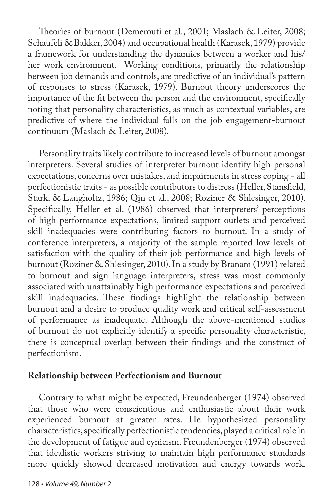Theories of burnout (Demerouti et al., 2001; Maslach & Leiter, 2008; Schaufeli & Bakker, 2004) and occupational health (Karasek, 1979) provide a framework for understanding the dynamics between a worker and his/ her work environment. Working conditions, primarily the relationship between job demands and controls, are predictive of an individual's pattern of responses to stress (Karasek, 1979). Burnout theory underscores the importance of the fit between the person and the environment, specifically noting that personality characteristics, as much as contextual variables, are predictive of where the individual falls on the job engagement-burnout continuum (Maslach & Leiter, 2008).

Personality traits likely contribute to increased levels of burnout amongst interpreters. Several studies of interpreter burnout identify high personal expectations, concerns over mistakes, and impairments in stress coping - all perfectionistic traits - as possible contributors to distress (Heller, Stansfield, Stark, & Langholtz, 1986; Qin et al., 2008; Roziner & Shlesinger, 2010). Specifically, Heller et al. (1986) observed that interpreters' perceptions of high performance expectations, limited support outlets and perceived skill inadequacies were contributing factors to burnout. In a study of conference interpreters, a majority of the sample reported low levels of satisfaction with the quality of their job performance and high levels of burnout (Roziner & Shlesinger, 2010). In a study by Branam (1991) related to burnout and sign language interpreters, stress was most commonly associated with unattainably high performance expectations and perceived skill inadequacies. These findings highlight the relationship between burnout and a desire to produce quality work and critical self-assessment of performance as inadequate. Although the above-mentioned studies of burnout do not explicitly identify a specific personality characteristic, there is conceptual overlap between their findings and the construct of perfectionism.

### **Relationship between Perfectionism and Burnout**

Contrary to what might be expected, Freundenberger (1974) observed that those who were conscientious and enthusiastic about their work experienced burnout at greater rates. He hypothesized personality characteristics, specifically perfectionistic tendencies, played a critical role in the development of fatigue and cynicism. Freundenberger (1974) observed that idealistic workers striving to maintain high performance standards more quickly showed decreased motivation and energy towards work.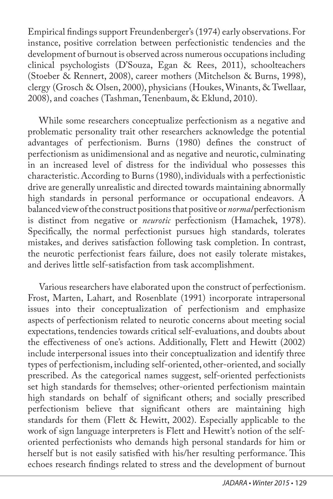Empirical findings support Freundenberger's (1974) early observations. For instance, positive correlation between perfectionistic tendencies and the development of burnout is observed across numerous occupations including clinical psychologists (D'Souza, Egan & Rees, 2011), schoolteachers (Stoeber & Rennert, 2008), career mothers (Mitchelson & Burns, 1998), clergy (Grosch & Olsen, 2000), physicians (Houkes, Winants, & Twellaar, 2008), and coaches (Tashman, Tenenbaum, & Eklund, 2010).

While some researchers conceptualize perfectionism as a negative and problematic personality trait other researchers acknowledge the potential advantages of perfectionism. Burns (1980) defines the construct of perfectionism as unidimensional and as negative and neurotic, culminating in an increased level of distress for the individual who possesses this characteristic. According to Burns (1980), individuals with a perfectionistic drive are generally unrealistic and directed towards maintaining abnormally high standards in personal performance or occupational endeavors. A balanced view of the construct positions that positive or *normal* perfectionism is distinct from negative or *neurotic* perfectionism (Hamachek, 1978). Specifically, the normal perfectionist pursues high standards, tolerates mistakes, and derives satisfaction following task completion. In contrast, the neurotic perfectionist fears failure, does not easily tolerate mistakes, and derives little self-satisfaction from task accomplishment.

Various researchers have elaborated upon the construct of perfectionism. Frost, Marten, Lahart, and Rosenblate (1991) incorporate intrapersonal issues into their conceptualization of perfectionism and emphasize aspects of perfectionism related to neurotic concerns about meeting social expectations, tendencies towards critical self-evaluations, and doubts about the effectiveness of one's actions. Additionally, Flett and Hewitt (2002) include interpersonal issues into their conceptualization and identify three types of perfectionism, including self-oriented, other-oriented, and socially prescribed. As the categorical names suggest, self-oriented perfectionists set high standards for themselves; other-oriented perfectionism maintain high standards on behalf of significant others; and socially prescribed perfectionism believe that significant others are maintaining high standards for them (Flett & Hewitt, 2002). Especially applicable to the work of sign language interpreters is Flett and Hewitt's notion of the selforiented perfectionists who demands high personal standards for him or herself but is not easily satisfied with his/her resulting performance. This echoes research findings related to stress and the development of burnout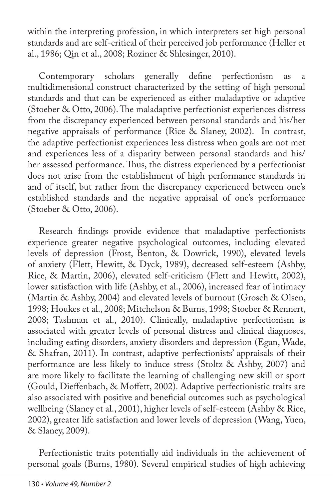within the interpreting profession, in which interpreters set high personal standards and are self-critical of their perceived job performance (Heller et al., 1986; Qin et al., 2008; Roziner & Shlesinger, 2010).

Contemporary scholars generally define perfectionism as a multidimensional construct characterized by the setting of high personal standards and that can be experienced as either maladaptive or adaptive (Stoeber & Otto, 2006). The maladaptive perfectionist experiences distress from the discrepancy experienced between personal standards and his/her negative appraisals of performance (Rice & Slaney, 2002). In contrast, the adaptive perfectionist experiences less distress when goals are not met and experiences less of a disparity between personal standards and his/ her assessed performance. Thus, the distress experienced by a perfectionist does not arise from the establishment of high performance standards in and of itself, but rather from the discrepancy experienced between one's established standards and the negative appraisal of one's performance (Stoeber & Otto, 2006).

Research findings provide evidence that maladaptive perfectionists experience greater negative psychological outcomes, including elevated levels of depression (Frost, Benton, & Dowrick, 1990), elevated levels of anxiety (Flett, Hewitt, & Dyck, 1989), decreased self-esteem (Ashby, Rice, & Martin, 2006), elevated self-criticism (Flett and Hewitt, 2002), lower satisfaction with life (Ashby, et al., 2006), increased fear of intimacy (Martin & Ashby, 2004) and elevated levels of burnout (Grosch & Olsen, 1998; Houkes et al., 2008; Mitchelson & Burns, 1998; Stoeber & Rennert, 2008; Tashman et al., 2010). Clinically, maladaptive perfectionism is associated with greater levels of personal distress and clinical diagnoses, including eating disorders, anxiety disorders and depression (Egan, Wade, & Shafran, 2011). In contrast, adaptive perfectionists' appraisals of their performance are less likely to induce stress (Stoltz & Ashby, 2007) and are more likely to facilitate the learning of challenging new skill or sport (Gould, Dieffenbach, & Moffett, 2002). Adaptive perfectionistic traits are also associated with positive and beneficial outcomes such as psychological wellbeing (Slaney et al., 2001), higher levels of self-esteem (Ashby & Rice, 2002), greater life satisfaction and lower levels of depression (Wang, Yuen, & Slaney, 2009).

Perfectionistic traits potentially aid individuals in the achievement of personal goals (Burns, 1980). Several empirical studies of high achieving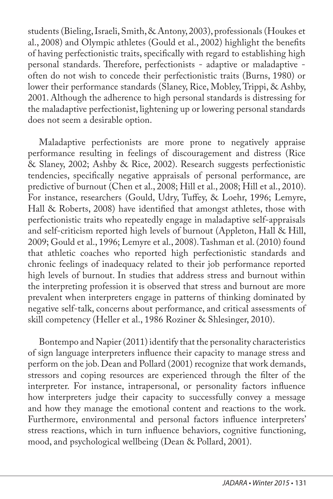students (Bieling, Israeli, Smith, & Antony, 2003), professionals (Houkes et al., 2008) and Olympic athletes (Gould et al., 2002) highlight the benefits of having perfectionistic traits, specifically with regard to establishing high personal standards. Therefore, perfectionists - adaptive or maladaptive often do not wish to concede their perfectionistic traits (Burns, 1980) or lower their performance standards (Slaney, Rice, Mobley, Trippi, & Ashby, 2001. Although the adherence to high personal standards is distressing for the maladaptive perfectionist, lightening up or lowering personal standards does not seem a desirable option.

Maladaptive perfectionists are more prone to negatively appraise performance resulting in feelings of discouragement and distress (Rice & Slaney, 2002; Ashby & Rice, 2002). Research suggests perfectionistic tendencies, specifically negative appraisals of personal performance, are predictive of burnout (Chen et al., 2008; Hill et al., 2008; Hill et al., 2010). For instance, researchers (Gould, Udry, Tuffey, & Loehr, 1996; Lemyre, Hall & Roberts, 2008) have identified that amongst athletes, those with perfectionistic traits who repeatedly engage in maladaptive self-appraisals and self-criticism reported high levels of burnout (Appleton, Hall & Hill, 2009; Gould et al., 1996; Lemyre et al., 2008). Tashman et al. (2010) found that athletic coaches who reported high perfectionistic standards and chronic feelings of inadequacy related to their job performance reported high levels of burnout. In studies that address stress and burnout within the interpreting profession it is observed that stress and burnout are more prevalent when interpreters engage in patterns of thinking dominated by negative self-talk, concerns about performance, and critical assessments of skill competency (Heller et al., 1986 Roziner & Shlesinger, 2010).

Bontempo and Napier (2011) identify that the personality characteristics of sign language interpreters influence their capacity to manage stress and perform on the job. Dean and Pollard (2001) recognize that work demands, stressors and coping resources are experienced through the filter of the interpreter. For instance, intrapersonal, or personality factors influence how interpreters judge their capacity to successfully convey a message and how they manage the emotional content and reactions to the work. Furthermore, environmental and personal factors influence interpreters' stress reactions, which in turn influence behaviors, cognitive functioning, mood, and psychological wellbeing (Dean & Pollard, 2001).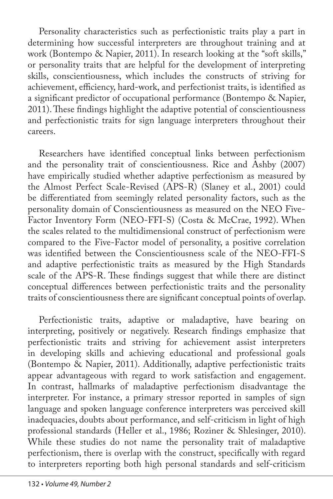Personality characteristics such as perfectionistic traits play a part in determining how successful interpreters are throughout training and at work (Bontempo & Napier, 2011). In research looking at the "soft skills," or personality traits that are helpful for the development of interpreting skills, conscientiousness, which includes the constructs of striving for achievement, efficiency, hard-work, and perfectionist traits, is identified as a significant predictor of occupational performance (Bontempo & Napier, 2011). These findings highlight the adaptive potential of conscientiousness and perfectionistic traits for sign language interpreters throughout their careers.

Researchers have identified conceptual links between perfectionism and the personality trait of conscientiousness. Rice and Ashby (2007) have empirically studied whether adaptive perfectionism as measured by the Almost Perfect Scale-Revised (APS-R) (Slaney et al., 2001) could be differentiated from seemingly related personality factors, such as the personality domain of Conscientiousness as measured on the NEO Five-Factor Inventory Form (NEO-FFI-S) (Costa & McCrae, 1992). When the scales related to the multidimensional construct of perfectionism were compared to the Five-Factor model of personality, a positive correlation was identified between the Conscientiousness scale of the NEO-FFI-S and adaptive perfectionistic traits as measured by the High Standards scale of the APS-R. These findings suggest that while there are distinct conceptual differences between perfectionistic traits and the personality traits of conscientiousness there are significant conceptual points of overlap.

Perfectionistic traits, adaptive or maladaptive, have bearing on interpreting, positively or negatively. Research findings emphasize that perfectionistic traits and striving for achievement assist interpreters in developing skills and achieving educational and professional goals (Bontempo & Napier, 2011). Additionally, adaptive perfectionistic traits appear advantageous with regard to work satisfaction and engagement. In contrast, hallmarks of maladaptive perfectionism disadvantage the interpreter. For instance, a primary stressor reported in samples of sign language and spoken language conference interpreters was perceived skill inadequacies, doubts about performance, and self-criticism in light of high professional standards (Heller et al., 1986; Roziner & Shlesinger, 2010). While these studies do not name the personality trait of maladaptive perfectionism, there is overlap with the construct, specifically with regard to interpreters reporting both high personal standards and self-criticism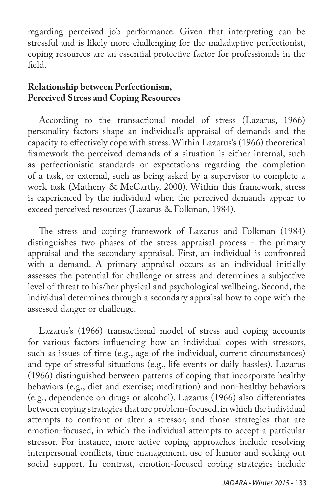regarding perceived job performance. Given that interpreting can be stressful and is likely more challenging for the maladaptive perfectionist, coping resources are an essential protective factor for professionals in the field.

### **Relationship between Perfectionism, Perceived Stress and Coping Resources**

According to the transactional model of stress (Lazarus, 1966) personality factors shape an individual's appraisal of demands and the capacity to effectively cope with stress. Within Lazarus's (1966) theoretical framework the perceived demands of a situation is either internal, such as perfectionistic standards or expectations regarding the completion of a task, or external, such as being asked by a supervisor to complete a work task (Matheny & McCarthy, 2000). Within this framework, stress is experienced by the individual when the perceived demands appear to exceed perceived resources (Lazarus & Folkman, 1984).

The stress and coping framework of Lazarus and Folkman (1984) distinguishes two phases of the stress appraisal process - the primary appraisal and the secondary appraisal. First, an individual is confronted with a demand. A primary appraisal occurs as an individual initially assesses the potential for challenge or stress and determines a subjective level of threat to his/her physical and psychological wellbeing. Second, the individual determines through a secondary appraisal how to cope with the assessed danger or challenge.

Lazarus's (1966) transactional model of stress and coping accounts for various factors influencing how an individual copes with stressors, such as issues of time (e.g., age of the individual, current circumstances) and type of stressful situations (e.g., life events or daily hassles). Lazarus (1966) distinguished between patterns of coping that incorporate healthy behaviors (e.g., diet and exercise; meditation) and non-healthy behaviors (e.g., dependence on drugs or alcohol). Lazarus (1966) also differentiates between coping strategies that are problem-focused, in which the individual attempts to confront or alter a stressor, and those strategies that are emotion-focused, in which the individual attempts to accept a particular stressor. For instance, more active coping approaches include resolving interpersonal conflicts, time management, use of humor and seeking out social support. In contrast, emotion-focused coping strategies include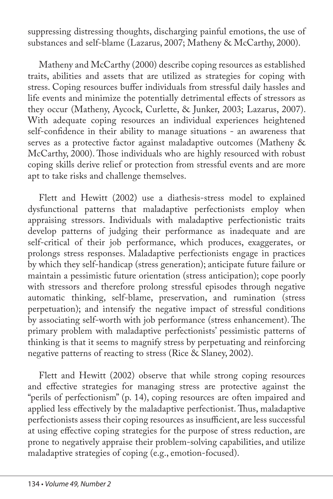suppressing distressing thoughts, discharging painful emotions, the use of substances and self-blame (Lazarus, 2007; Matheny & McCarthy, 2000).

Matheny and McCarthy (2000) describe coping resources as established traits, abilities and assets that are utilized as strategies for coping with stress. Coping resources buffer individuals from stressful daily hassles and life events and minimize the potentially detrimental effects of stressors as they occur (Matheny, Aycock, Curlette, & Junker, 2003; Lazarus, 2007). With adequate coping resources an individual experiences heightened self-confidence in their ability to manage situations - an awareness that serves as a protective factor against maladaptive outcomes (Matheny & McCarthy, 2000). Those individuals who are highly resourced with robust coping skills derive relief or protection from stressful events and are more apt to take risks and challenge themselves.

Flett and Hewitt (2002) use a diathesis-stress model to explained dysfunctional patterns that maladaptive perfectionists employ when appraising stressors. Individuals with maladaptive perfectionistic traits develop patterns of judging their performance as inadequate and are self-critical of their job performance, which produces, exaggerates, or prolongs stress responses. Maladaptive perfectionists engage in practices by which they self-handicap (stress generation); anticipate future failure or maintain a pessimistic future orientation (stress anticipation); cope poorly with stressors and therefore prolong stressful episodes through negative automatic thinking, self-blame, preservation, and rumination (stress perpetuation); and intensify the negative impact of stressful conditions by associating self-worth with job performance (stress enhancement). The primary problem with maladaptive perfectionists' pessimistic patterns of thinking is that it seems to magnify stress by perpetuating and reinforcing negative patterns of reacting to stress (Rice & Slaney, 2002).

Flett and Hewitt (2002) observe that while strong coping resources and effective strategies for managing stress are protective against the "perils of perfectionism" (p. 14), coping resources are often impaired and applied less effectively by the maladaptive perfectionist. Thus, maladaptive perfectionists assess their coping resources as insufficient, are less successful at using effective coping strategies for the purpose of stress reduction, are prone to negatively appraise their problem-solving capabilities, and utilize maladaptive strategies of coping (e.g., emotion-focused).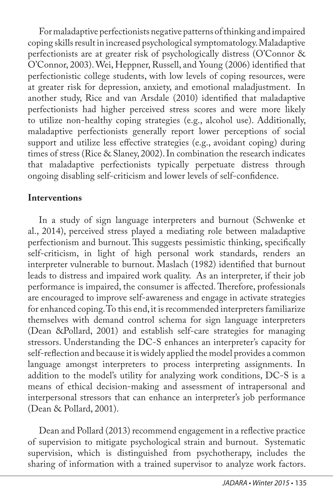For maladaptive perfectionists negative patterns of thinking and impaired coping skills result in increased psychological symptomatology. Maladaptive perfectionists are at greater risk of psychologically distress (O'Connor & O'Connor, 2003). Wei, Heppner, Russell, and Young (2006) identified that perfectionistic college students, with low levels of coping resources, were at greater risk for depression, anxiety, and emotional maladjustment. In another study, Rice and van Arsdale (2010) identified that maladaptive perfectionists had higher perceived stress scores and were more likely to utilize non-healthy coping strategies (e.g., alcohol use). Additionally, maladaptive perfectionists generally report lower perceptions of social support and utilize less effective strategies (e.g., avoidant coping) during times of stress (Rice & Slaney, 2002). In combination the research indicates that maladaptive perfectionists typically perpetuate distress through ongoing disabling self-criticism and lower levels of self-confidence.

# **Interventions**

In a study of sign language interpreters and burnout (Schwenke et al., 2014), perceived stress played a mediating role between maladaptive perfectionism and burnout. This suggests pessimistic thinking, specifically self-criticism, in light of high personal work standards, renders an interpreter vulnerable to burnout. Maslach (1982) identified that burnout leads to distress and impaired work quality. As an interpreter, if their job performance is impaired, the consumer is affected. Therefore, professionals are encouraged to improve self-awareness and engage in activate strategies for enhanced coping. To this end, it is recommended interpreters familiarize themselves with demand control schema for sign language interpreters (Dean &Pollard, 2001) and establish self-care strategies for managing stressors. Understanding the DC-S enhances an interpreter's capacity for self-reflection and because it is widely applied the model provides a common language amongst interpreters to process interpreting assignments. In addition to the model's utility for analyzing work conditions, DC-S is a means of ethical decision-making and assessment of intrapersonal and interpersonal stressors that can enhance an interpreter's job performance (Dean & Pollard, 2001).

Dean and Pollard (2013) recommend engagement in a reflective practice of supervision to mitigate psychological strain and burnout. Systematic supervision, which is distinguished from psychotherapy, includes the sharing of information with a trained supervisor to analyze work factors.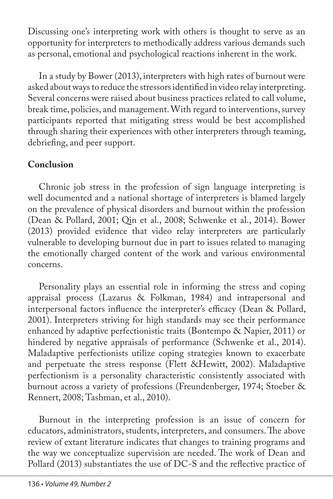Discussing one's interpreting work with others is thought to serve as an opportunity for interpreters to methodically address various demands such as personal, emotional and psychological reactions inherent in the work.

In a study by Bower (2013), interpreters with high rates of burnout were asked about ways to reduce the stressors identified in video relay interpreting. Several concerns were raised about business practices related to call volume, break time, policies, and management. With regard to interventions, survey participants reported that mitigating stress would be best accomplished through sharing their experiences with other interpreters through teaming, debriefing, and peer support.

# **Conclusion**

Chronic job stress in the profession of sign language interpreting is well documented and a national shortage of interpreters is blamed largely on the prevalence of physical disorders and burnout within the profession (Dean & Pollard, 2001; Qin et al., 2008; Schwenke et al., 2014). Bower (2013) provided evidence that video relay interpreters are particularly vulnerable to developing burnout due in part to issues related to managing the emotionally charged content of the work and various environmental concerns.

Personality plays an essential role in informing the stress and coping appraisal process (Lazarus & Folkman, 1984) and intrapersonal and interpersonal factors influence the interpreter's efficacy (Dean & Pollard, 2001). Interpreters striving for high standards may see their performance enhanced by adaptive perfectionistic traits (Bontempo & Napier, 2011) or hindered by negative appraisals of performance (Schwenke et al., 2014). Maladaptive perfectionists utilize coping strategies known to exacerbate and perpetuate the stress response (Flett &Hewitt, 2002). Maladaptive perfectionism is a personality characteristic consistently associated with burnout across a variety of professions (Freundenberger, 1974; Stoeber & Rennert, 2008; Tashman, et al., 2010).

Burnout in the interpreting profession is an issue of concern for educators, administrators, students, interpreters, and consumers. The above review of extant literature indicates that changes to training programs and the way we conceptualize supervision are needed. The work of Dean and Pollard (2013) substantiates the use of DC-S and the reflective practice of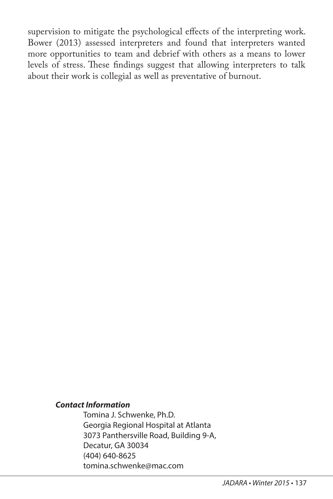supervision to mitigate the psychological effects of the interpreting work. Bower (2013) assessed interpreters and found that interpreters wanted more opportunities to team and debrief with others as a means to lower levels of stress. These findings suggest that allowing interpreters to talk about their work is collegial as well as preventative of burnout.

#### *Contact Information*

Tomina J. Schwenke, Ph.D. Georgia Regional Hospital at Atlanta 3073 Panthersville Road, Building 9-A, Decatur, GA 30034 (404) 640-8625 tomina.schwenke@mac.com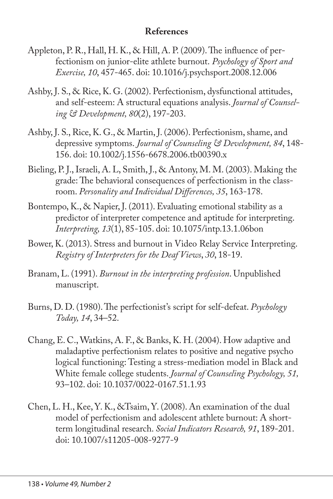# **References**

- Appleton, P. R., Hall, H. K., & Hill, A. P. (2009). The influence of perfectionism on junior-elite athlete burnout. *Psychology of Sport and Exercise, 10*, 457-465. doi: 10.1016/j.psychsport.2008.12.006
- Ashby, J. S., & Rice, K. G. (2002). Perfectionism, dysfunctional attitudes, and self-esteem: A structural equations analysis. *Journal of Counseling & Development, 80*(2), 197-203.
- Ashby, J. S., Rice, K. G., & Martin, J. (2006). Perfectionism, shame, and depressive symptoms. *Journal of Counseling & Development, 84*, 148- 156. doi: 10.1002/j.1556-6678.2006.tb00390.x
- Bieling, P. J., Israeli, A. L, Smith, J., & Antony, M. M. (2003). Making the grade: The behavioral consequences of perfectionism in the classroom. *Personality and Individual Differences, 35*, 163-178.
- Bontempo, K., & Napier, J. (2011). Evaluating emotional stability as a predictor of interpreter competence and aptitude for interpreting. *Interpreting, 13*(1), 85-105. doi: 10.1075/intp.13.1.06bon
- Bower, K. (2013). Stress and burnout in Video Relay Service Interpreting. *Registry of Interpreters for the Deaf Views*, *30*, 18-19.
- Branam, L. (1991). *Burnout in the interpreting profession*. Unpublished manuscript.
- Burns, D. D. (1980). The perfectionist's script for self-defeat. *Psychology Today, 14*, 34–52.
- Chang, E. C., Watkins, A. F., & Banks, K. H. (2004). How adaptive and maladaptive perfectionism relates to positive and negative psycho logical functioning: Testing a stress-mediation model in Black and White female college students. *Journal of Counseling Psychology, 51,*  93–102. doi: 10.1037/0022-0167.51.1.93
- Chen, L. H., Kee, Y. K., &Tsaim, Y. (2008). An examination of the dual model of perfectionism and adolescent athlete burnout: A shortterm longitudinal research. *Social Indicators Research, 91*, 189-201. doi: 10.1007/s11205-008-9277-9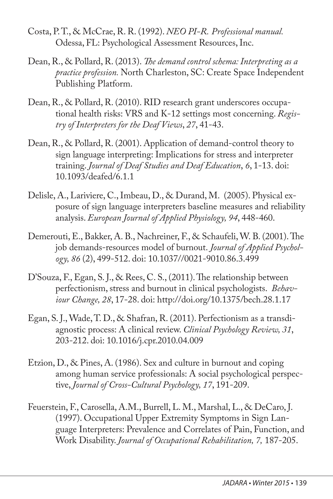- Costa, P. T., & McCrae, R. R. (1992). *NEO PI-R. Professional manual.* Odessa, FL: Psychological Assessment Resources, Inc.
- Dean, R., & Pollard, R. (2013). *The demand control schema: Interpreting as a practice profession.* North Charleston, SC: Create Space Independent Publishing Platform.
- Dean, R., & Pollard, R. (2010). RID research grant underscores occupational health risks: VRS and K-12 settings most concerning. *Registry of Interpreters for the Deaf Views*, *27*, 41-43.
- Dean, R., & Pollard, R. (2001). Application of demand-control theory to sign language interpreting: Implications for stress and interpreter training. *Journal of Deaf Studies and Deaf Education*, *6*, 1-13. doi: 10.1093/deafed/6.1.1
- Delisle, A., Lariviere, C., Imbeau, D., & Durand, M. (2005). Physical exposure of sign language interpreters baseline measures and reliability analysis. *European Journal of Applied Physiology, 94*, 448-460.
- Demerouti, E., Bakker, A. B., Nachreiner, F., & Schaufeli, W. B. (2001). The job demands-resources model of burnout. *Journal of Applied Psychology, 86* (2), 499-512. doi: 10.1037//0021-9010.86.3.499
- D'Souza, F., Egan, S. J., & Rees, C. S., (2011). The relationship between perfectionism, stress and burnout in clinical psychologists. *Behaviour Change, 28*, 17-28. doi: http://doi.org/10.1375/bech.28.1.17
- Egan, S. J., Wade, T. D., & Shafran, R. (2011). Perfectionism as a transdiagnostic process: A clinical review. *Clinical Psychology Review, 31*, 203-212. doi: 10.1016/j.cpr.2010.04.009
- Etzion, D., & Pines, A. (1986). Sex and culture in burnout and coping among human service professionals: A social psychological perspective, *Journal of Cross-Cultural Psychology, 17*, 191-209.
- Feuerstein, F., Carosella, A.M., Burrell, L. M., Marshal, L., & DeCaro, J. (1997). Occupational Upper Extremity Symptoms in Sign Language Interpreters: Prevalence and Correlates of Pain, Function, and Work Disability. *Journal of Occupational Rehabilitation, 7,* 187-205.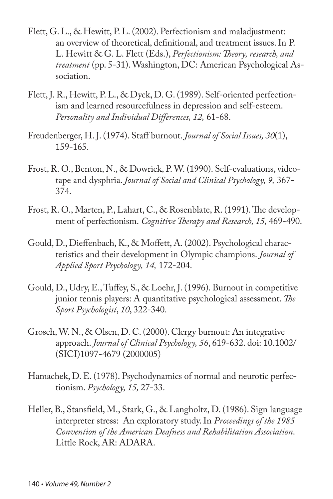- Flett, G. L., & Hewitt, P. L. (2002). Perfectionism and maladjustment: an overview of theoretical, definitional, and treatment issues. In P. L. Hewitt & G. L. Flett (Eds.), *Perfectionism: Theory, research, and treatment* (pp. 5-31). Washington, DC: American Psychological Association.
- Flett, J. R., Hewitt, P. L., & Dyck, D. G. (1989). Self-oriented perfectionism and learned resourcefulness in depression and self-esteem. *Personality and Individual Differences, 12,* 61-68.
- Freudenberger, H. J. (1974). Staff burnout. *Journal of Social Issues, 30*(1), 159-165.
- Frost, R. O., Benton, N., & Dowrick, P. W. (1990). Self-evaluations, videotape and dysphria. *Journal of Social and Clinical Psychology, 9,* 367- 374.
- Frost, R. O., Marten, P., Lahart, C., & Rosenblate, R. (1991). The development of perfectionism. *Cognitive Therapy and Research, 15,* 469-490.
- Gould, D., Dieffenbach, K., & Moffett, A. (2002). Psychological characteristics and their development in Olympic champions. *Journal of Applied Sport Psychology, 14,* 172-204.
- Gould, D., Udry, E., Tuffey, S., & Loehr, J. (1996). Burnout in competitive junior tennis players: A quantitative psychological assessment. *The Sport Psychologist*, *10*, 322-340.
- Grosch, W. N., & Olsen, D. C. (2000). Clergy burnout: An integrative approach. *Journal of Clinical Psychology, 56*, 619-632. doi: 10.1002/ (SICI)1097-4679 (2000005)
- Hamachek, D. E. (1978). Psychodynamics of normal and neurotic perfectionism. *Psychology, 15,* 27-33.
- Heller, B., Stansfield, M., Stark, G., & Langholtz, D. (1986). Sign language interpreter stress: An exploratory study. In *Proceedings of the 1985 Convention of the American Deafness and Rehabilitation Association*. Little Rock, AR: ADARA.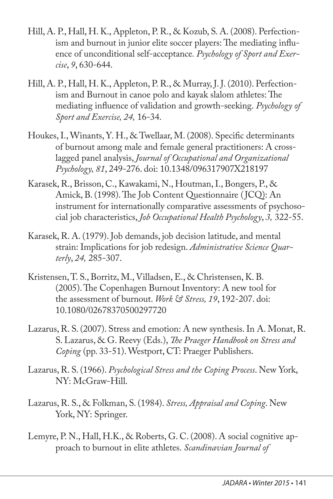- Hill, A. P., Hall, H. K., Appleton, P. R., & Kozub, S. A. (2008). Perfectionism and burnout in junior elite soccer players: The mediating influence of unconditional self-acceptance*. Psychology of Sport and Exercise*, *9*, 630-644.
- Hill, A. P., Hall, H. K., Appleton, P. R., & Murray, J. J. (2010). Perfectionism and Burnout in canoe polo and kayak slalom athletes: The mediating influence of validation and growth-seeking. *Psychology of Sport and Exercise, 24,* 16-34.
- Houkes, I., Winants, Y. H., & Twellaar, M. (2008). Specific determinants of burnout among male and female general practitioners: A crosslagged panel analysis, *Journal of Occupational and Organizational Psychology, 81*, 249-276. doi: 10.1348/096317907X218197
- Karasek, R., Brisson, C., Kawakami, N., Houtman, I., Bongers, P., & Amick, B. (1998). The Job Content Questionnaire (JCQ): An instrument for internationally comparative assessments of psychosocial job characteristics, *Job Occupational Health Psychology*, *3,* 322-55.
- Karasek, R. A. (1979). Job demands, job decision latitude, and mental strain: Implications for job redesign. *Administrative Science Quarterly*, *24,* 285-307.
- Kristensen, T. S., Borritz, M., Villadsen, E., & Christensen, K. B. (2005). The Copenhagen Burnout Inventory: A new tool for the assessment of burnout. *Work & Stress, 19*, 192-207. doi: 10.1080/02678370500297720
- Lazarus, R. S. (2007). Stress and emotion: A new synthesis. In A. Monat, R. S. Lazarus, & G. Reevy (Eds.), *The Praeger Handbook on Stress and Coping* (pp. 33-51). Westport, CT: Praeger Publishers.
- Lazarus, R. S. (1966). *Psychological Stress and the Coping Process*. New York, NY: McGraw-Hill.
- Lazarus, R. S., & Folkman, S. (1984). *Stress, Appraisal and Coping*. New York, NY: Springer.
- Lemyre, P. N., Hall, H.K., & Roberts, G. C. (2008). A social cognitive approach to burnout in elite athletes. *Scandinavian Journal of*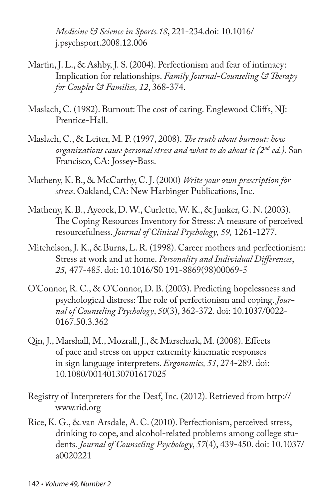*Medicine & Science in Sports.18*, 221-234.doi: 10.1016/ j.psychsport.2008.12.006

- Martin, J. L., & Ashby, J. S. (2004). Perfectionism and fear of intimacy: Implication for relationships. *Family Journal-Counseling & Therapy for Couples & Families, 12*, 368-374.
- Maslach, C. (1982). Burnout: The cost of caring. Englewood Cliffs, NJ: Prentice-Hall.
- Maslach, C., & Leiter, M. P. (1997, 2008). *The truth about burnout: how organizations cause personal stress and what to do about it (2nd ed.)*. San Francisco, CA: Jossey-Bass.
- Matheny, K. B., & McCarthy, C. J. (2000) *Write your own prescription for stress*. Oakland, CA: New Harbinger Publications, Inc.
- Matheny, K. B., Aycock, D. W., Curlette, W. K., & Junker, G. N. (2003). The Coping Resources Inventory for Stress: A measure of perceived resourcefulness. *Journal of Clinical Psychology, 59,* 1261-1277.
- Mitchelson, J. K., & Burns, L. R. (1998). Career mothers and perfectionism: Stress at work and at home. *Personality and Individual Differences*, *25,* 477-485. doi: 10.1016/S0 191-8869(98)00069-5
- O'Connor, R. C., & O'Connor, D. B. (2003). Predicting hopelessness and psychological distress: The role of perfectionism and coping. *Journal of Counseling Psychology*, *50*(3), 362-372. doi: 10.1037/0022- 0167.50.3.362
- Qin, J., Marshall, M., Mozrall, J., & Marschark, M. (2008). Effects of pace and stress on upper extremity kinematic responses in sign language interpreters. *Ergonomics, 51*, 274-289. doi: 10.1080/00140130701617025
- Registry of Interpreters for the Deaf, Inc. (2012). Retrieved from http:// www.rid.org
- Rice, K. G., & van Arsdale, A. C. (2010). Perfectionism, perceived stress, drinking to cope, and alcohol-related problems among college students. *Journal of Counseling Psychology*, *57*(4), 439-450. doi: 10.1037/ a0020221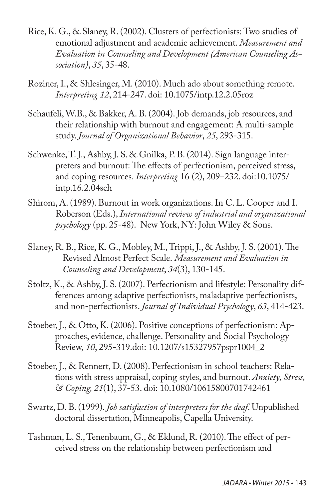- Rice, K. G., & Slaney, R. (2002). Clusters of perfectionists: Two studies of emotional adjustment and academic achievement. *Measurement and Evaluation in Counseling and Development (American Counseling Association)*, *35*, 35-48.
- Roziner, I., & Shlesinger, M. (2010). Much ado about something remote. *Interpreting 12*, 214-247. doi: 10.1075/intp.12.2.05roz
- Schaufeli, W.B., & Bakker, A. B. (2004). Job demands, job resources, and their relationship with burnout and engagement: A multi-sample study. *Journal of Organizational Behavior*, *25*, 293-315.
- Schwenke, T. J., Ashby, J. S. & Gnilka, P. B. (2014). Sign language interpreters and burnout: The effects of perfectionism, perceived stress, and coping resources. *Interpreting* 16 (2), 209-232. doi:10.1075/ intp.16.2.04sch
- Shirom, A. (1989). Burnout in work organizations. In C. L. Cooper and I. Roberson (Eds.), *International review of industrial and organizational psychology* (pp. 25-48). New York, NY: John Wiley & Sons.
- Slaney, R. B., Rice, K. G., Mobley, M., Trippi, J., & Ashby, J. S. (2001). The Revised Almost Perfect Scale. *Measurement and Evaluation in Counseling and Development*, *34*(3), 130-145.
- Stoltz, K., & Ashby, J. S. (2007). Perfectionism and lifestyle: Personality differences among adaptive perfectionists, maladaptive perfectionists, and non-perfectionists. *Journal of Individual Psychology*, *63*, 414-423.
- Stoeber, J., & Otto, K. (2006). Positive conceptions of perfectionism: Approaches, evidence, challenge. Personality and Social Psychology Review, *10*, 295-319.doi: 10.1207/s15327957pspr1004\_2
- Stoeber, J., & Rennert, D. (2008). Perfectionism in school teachers: Relations with stress appraisal, coping styles, and burnout. *Anxiety, Stress, & Coping, 21*(1), 37-53. doi: 10.1080/10615800701742461
- Swartz, D. B. (1999). *Job satisfaction of interpreters for the deaf*. Unpublished doctoral dissertation, Minneapolis, Capella University.
- Tashman, L. S., Tenenbaum, G., & Eklund, R. (2010). The effect of perceived stress on the relationship between perfectionism and